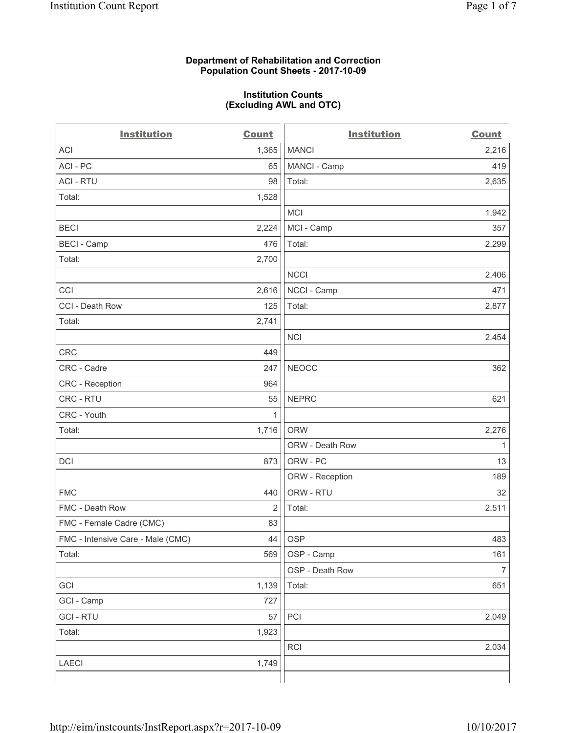#### **Department of Rehabilitation and Correction Population Count Sheets - 2017-10-09**

#### **Institution Counts (Excluding AWL and OTC)**

 $-$ 

| <b>Institution</b>                | <b>Count</b> | <b>Institution</b> | <b>Count</b>             |
|-----------------------------------|--------------|--------------------|--------------------------|
| <b>ACI</b>                        | 1,365        | <b>MANCI</b>       | 2,216                    |
| ACI-PC                            | 65           | MANCI - Camp       | 419                      |
| <b>ACI - RTU</b>                  | 98           | Total:             | 2,635                    |
| Total:                            | 1,528        |                    |                          |
|                                   |              | <b>MCI</b>         | 1,942                    |
| <b>BECI</b>                       | 2,224        | MCI - Camp         | 357                      |
| <b>BECI</b> - Camp                | 476          | Total:             | 2,299                    |
| Total:                            | 2,700        |                    |                          |
|                                   |              | <b>NCCI</b>        | 2,406                    |
| CCI                               | 2,616        | NCCI - Camp        | 471                      |
| CCI - Death Row                   | 125          | Total:             | 2,877                    |
| Total:                            | 2,741        |                    |                          |
|                                   |              | <b>NCI</b>         | 2,454                    |
| <b>CRC</b>                        | 449          |                    |                          |
| CRC - Cadre                       | 247          | <b>NEOCC</b>       | 362                      |
| <b>CRC</b> - Reception            | 964          |                    |                          |
| CRC - RTU                         | 55           | <b>NEPRC</b>       | 621                      |
| CRC - Youth                       | 1            |                    |                          |
| Total:                            | 1,716        | <b>ORW</b>         | 2,276                    |
|                                   |              | ORW - Death Row    | 1                        |
| DCI                               | 873          | ORW - PC           | 13                       |
|                                   |              | ORW - Reception    | 189                      |
| <b>FMC</b>                        | 440          | ORW - RTU          | 32                       |
| FMC - Death Row                   | 2            | Total:             | 2,511                    |
| FMC - Female Cadre (CMC)          | 83           |                    |                          |
| FMC - Intensive Care - Male (CMC) | 44           | OSP                | 483                      |
| Total:                            | 569          | OSP - Camp         | 161                      |
|                                   |              | OSP - Death Row    | $\overline{\mathcal{I}}$ |
| GCI                               | 1,139        | Total:             | 651                      |
| GCI - Camp                        | 727          |                    |                          |
| <b>GCI-RTU</b>                    | 57           | PCI                | 2,049                    |
| Total:                            | 1,923        |                    |                          |
|                                   |              | <b>RCI</b>         | 2,034                    |
| LAECI                             | 1,749        |                    |                          |
|                                   |              |                    |                          |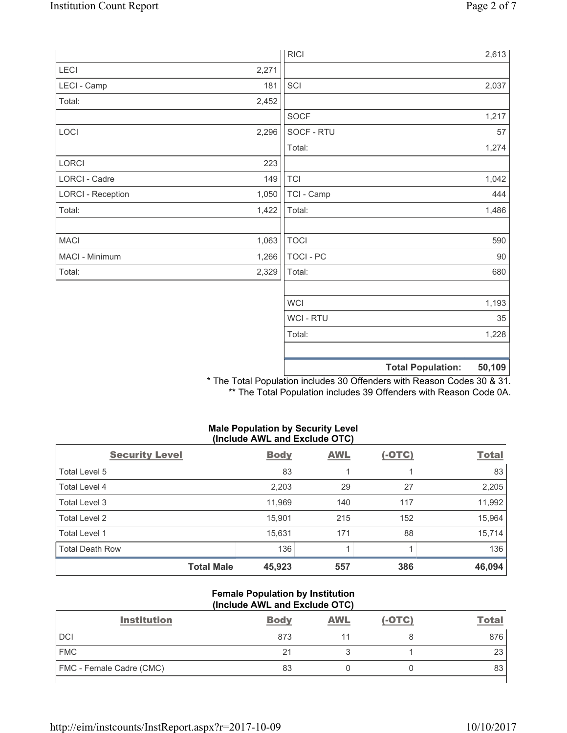|                          |       | <b>RICI</b> |                          | 2,613  |
|--------------------------|-------|-------------|--------------------------|--------|
| LECI                     | 2,271 |             |                          |        |
| LECI - Camp              | 181   | SCI         |                          | 2,037  |
| Total:                   | 2,452 |             |                          |        |
|                          |       | SOCF        |                          | 1,217  |
| LOCI                     | 2,296 | SOCF - RTU  |                          | 57     |
|                          |       | Total:      |                          | 1,274  |
| LORCI                    | 223   |             |                          |        |
| LORCI - Cadre            | 149   | <b>TCI</b>  |                          | 1,042  |
| <b>LORCI - Reception</b> | 1,050 | TCI - Camp  |                          | 444    |
| Total:                   | 1,422 | Total:      |                          | 1,486  |
|                          |       |             |                          |        |
| <b>MACI</b>              | 1,063 | <b>TOCI</b> |                          | 590    |
| MACI - Minimum           | 1,266 | TOCI - PC   |                          | 90     |
| Total:                   | 2,329 | Total:      |                          | 680    |
|                          |       |             |                          |        |
|                          |       | <b>WCI</b>  |                          | 1,193  |
|                          |       | WCI - RTU   |                          | 35     |
|                          |       | Total:      |                          | 1,228  |
|                          |       |             |                          |        |
|                          |       |             | <b>Total Population:</b> | 50,109 |

\* The Total Population includes 30 Offenders with Reason Codes 30 & 31. \*\* The Total Population includes 39 Offenders with Reason Code 0A.

#### **Male Population by Security Level (Include AWL and Exclude OTC)**

| <b>Security Level</b>  | <b>Body</b> | <b>AWL</b> | $(-OTC)$ | <b>Total</b> |
|------------------------|-------------|------------|----------|--------------|
| Total Level 5          | 83          |            |          | 83           |
| Total Level 4          | 2,203       | 29         | 27       | 2,205        |
| Total Level 3          | 11,969      | 140        | 117      | 11,992       |
| Total Level 2          | 15,901      | 215        | 152      | 15,964       |
| Total Level 1          | 15,631      | 171        | 88       | 15,714       |
| <b>Total Death Row</b> | 136         |            |          | 136          |
| <b>Total Male</b>      | 45,923      | 557        | 386      | 46,094       |

#### **Female Population by Institution (Include AWL and Exclude OTC)**

| <b>Institution</b>              | <b>Body</b> | <b>AWL</b> | $(-OTC)$ | <b>Total</b> |
|---------------------------------|-------------|------------|----------|--------------|
| <b>DCI</b>                      | 873         |            |          | 876          |
| <b>FMC</b>                      | 21          |            |          | 23           |
| <b>FMC</b> - Female Cadre (CMC) | 83          |            |          | 83           |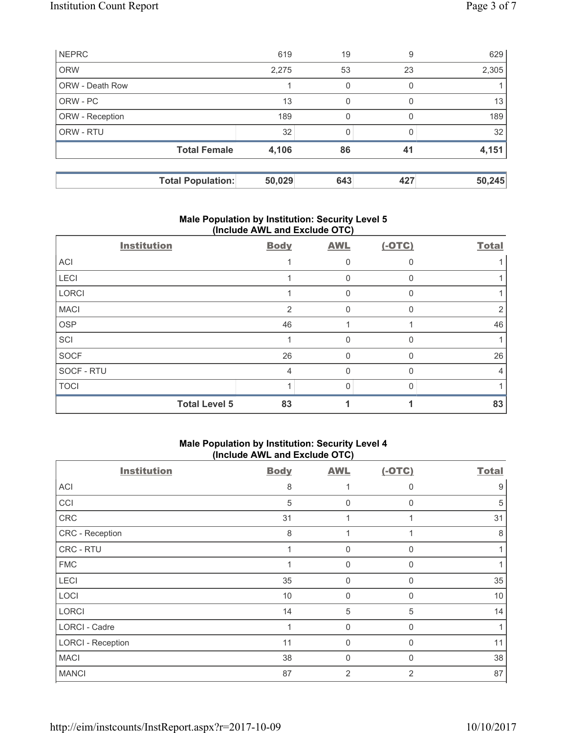| <b>NEPRC</b>           |                          | 619    | 19  | 9            | 629    |
|------------------------|--------------------------|--------|-----|--------------|--------|
| <b>ORW</b>             |                          | 2,275  | 53  | 23           | 2,305  |
| <b>ORW - Death Row</b> |                          |        | 0   | 0            |        |
| ORW - PC               |                          | 13     | 0   | <sup>0</sup> | 13     |
| ORW - Reception        |                          | 189    | 0   | 0            | 189    |
| ORW - RTU              |                          | 32     |     |              | 32     |
|                        | <b>Total Female</b>      | 4,106  | 86  | 41           | 4,151  |
|                        |                          |        |     |              |        |
|                        | <b>Total Population:</b> | 50,029 | 643 | 427          | 50,245 |

# **Male Population by Institution: Security Level 5 (Include AWL and Exclude OTC)**

| <b>Institution</b>   | <b>Body</b> | <b>AWL</b> | $(-OTC)$ | <b>Total</b> |
|----------------------|-------------|------------|----------|--------------|
| ACI                  |             |            |          |              |
| LECI                 |             | 0          |          |              |
| LORCI                |             | 0          | $\Omega$ |              |
| <b>MACI</b>          | 2           | $\Omega$   | $\Omega$ |              |
| OSP                  | 46          |            |          | 46           |
| SCI                  |             | 0          | $\Omega$ |              |
| SOCF                 | 26          | 0          | $\Omega$ | 26           |
| SOCF - RTU           | 4           | 0          |          | 4            |
| <b>TOCI</b>          |             | $\Omega$   |          |              |
| <b>Total Level 5</b> | 83          |            |          | 83           |

# **Male Population by Institution: Security Level 4 (Include AWL and Exclude OTC)**

| <b>Institution</b>       | <b>Body</b> | <b>AWL</b>     | $(-OTC)$       | <b>Total</b> |
|--------------------------|-------------|----------------|----------------|--------------|
| ACI                      | 8           |                | $\Omega$       | 9            |
| CCI                      | 5           | $\mathbf 0$    | $\Omega$       | 5            |
| CRC                      | 31          | 1              |                | 31           |
| CRC - Reception          | 8           | 1              |                | 8            |
| CRC - RTU                | 1           | $\mathbf 0$    | $\Omega$       |              |
| <b>FMC</b>               |             | $\mathbf 0$    | 0              |              |
| LECI                     | 35          | $\mathbf 0$    | $\mathbf{0}$   | 35           |
| LOCI                     | 10          | $\mathbf 0$    | $\Omega$       | 10           |
| <b>LORCI</b>             | 14          | 5              | 5              | 14           |
| LORCI - Cadre            |             | 0              | $\mathbf{0}$   |              |
| <b>LORCI - Reception</b> | 11          | $\mathbf 0$    | $\Omega$       | 11           |
| <b>MACI</b>              | 38          | 0              | 0              | 38           |
| <b>MANCI</b>             | 87          | $\overline{2}$ | $\overline{2}$ | 87           |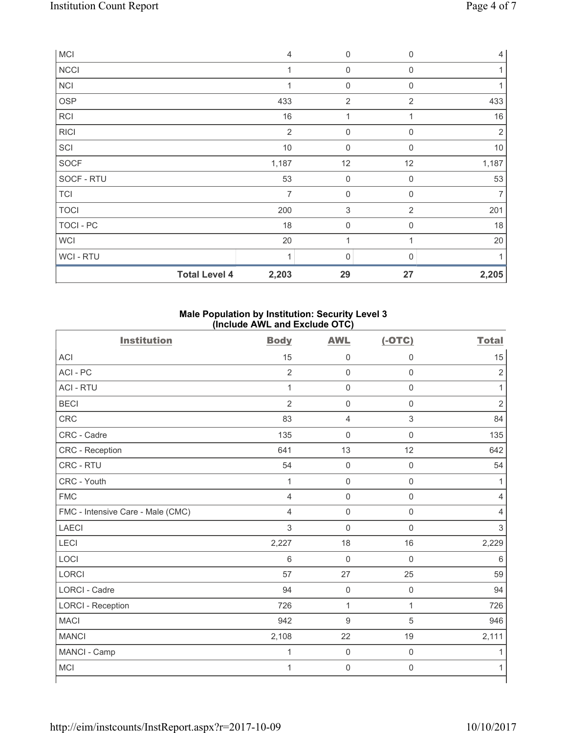| <b>MCI</b>           | $\overline{4}$ | 0                   | $\mathbf{0}$   | $\overline{4}$ |
|----------------------|----------------|---------------------|----------------|----------------|
| <b>NCCI</b>          | 1              | $\mathbf 0$         | $\mathbf 0$    |                |
| <b>NCI</b>           |                | $\mathbf 0$         | $\mathbf 0$    |                |
| OSP                  | 433            | $\overline{2}$      | 2              | 433            |
| <b>RCI</b>           | 16             | 1                   |                | 16             |
| <b>RICI</b>          | $\overline{2}$ | $\mathbf 0$         | $\mathbf 0$    | $\overline{2}$ |
| SCI                  | 10             | $\mathsf{O}\xspace$ | $\Omega$       | $10$           |
| SOCF                 | 1,187          | 12                  | 12             | 1,187          |
| SOCF - RTU           | 53             | $\mathsf{O}\xspace$ | $\mathbf 0$    | 53             |
| <b>TCI</b>           | $\overline{7}$ | $\mathsf{O}\xspace$ | $\mathbf 0$    | $\overline{7}$ |
| <b>TOCI</b>          | 200            | $\,$ 3 $\,$         | $\overline{2}$ | 201            |
| TOCI - PC            | 18             | $\mathbf 0$         | $\Omega$       | 18             |
| <b>WCI</b>           | 20             | 1                   |                | 20             |
| <b>WCI-RTU</b>       | 1              | 0                   | $\Omega$       |                |
| <b>Total Level 4</b> | 2,203          | 29                  | 27             | 2,205          |

## **Male Population by Institution: Security Level 3 (Include AWL and Exclude OTC)**

| <b>Institution</b>                | <b>Body</b>    | <b>AWL</b>          | $(-OTC)$            | <b>Total</b>   |
|-----------------------------------|----------------|---------------------|---------------------|----------------|
| <b>ACI</b>                        | 15             | $\mathsf{0}$        | $\mathbf 0$         | 15             |
| ACI-PC                            | $\overline{2}$ | $\mathbf 0$         | $\mathbf 0$         | $\overline{2}$ |
| <b>ACI - RTU</b>                  | $\mathbf{1}$   | $\mathsf 0$         | $\mathsf 0$         | 1              |
| <b>BECI</b>                       | $\overline{2}$ | $\mathsf{O}\xspace$ | $\mathsf 0$         | $\overline{2}$ |
| <b>CRC</b>                        | 83             | $\overline{4}$      | $\mathsf 3$         | 84             |
| CRC - Cadre                       | 135            | $\mathsf 0$         | $\mathbf 0$         | 135            |
| CRC - Reception                   | 641            | 13                  | 12                  | 642            |
| CRC - RTU                         | 54             | $\mathsf{O}\xspace$ | $\mathbf 0$         | 54             |
| CRC - Youth                       | $\mathbf{1}$   | $\mathbf 0$         | $\mathsf 0$         | 1              |
| <b>FMC</b>                        | 4              | $\mathsf{O}\xspace$ | $\mathsf 0$         | 4              |
| FMC - Intensive Care - Male (CMC) | $\overline{4}$ | $\mathsf{O}\xspace$ | $\mathsf{O}\xspace$ | 4              |
| <b>LAECI</b>                      | 3              | $\mathbf 0$         | $\mathsf 0$         | $\mathsf 3$    |
| <b>LECI</b>                       | 2,227          | 18                  | 16                  | 2,229          |
| LOCI                              | 6              | $\mathbf 0$         | $\mathbf 0$         | 6              |
| LORCI                             | 57             | 27                  | 25                  | 59             |
| <b>LORCI - Cadre</b>              | 94             | $\mathbf 0$         | $\mathbf 0$         | 94             |
| <b>LORCI - Reception</b>          | 726            | $\mathbf{1}$        | $\mathbf{1}$        | 726            |
| <b>MACI</b>                       | 942            | $\boldsymbol{9}$    | $\sqrt{5}$          | 946            |
| <b>MANCI</b>                      | 2,108          | 22                  | 19                  | 2,111          |
| MANCI - Camp                      | $\mathbf{1}$   | $\mathbf 0$         | $\mathsf{O}\xspace$ |                |
| <b>MCI</b>                        | $\mathbf{1}$   | $\mathsf{O}\xspace$ | $\mathbf 0$         | 1              |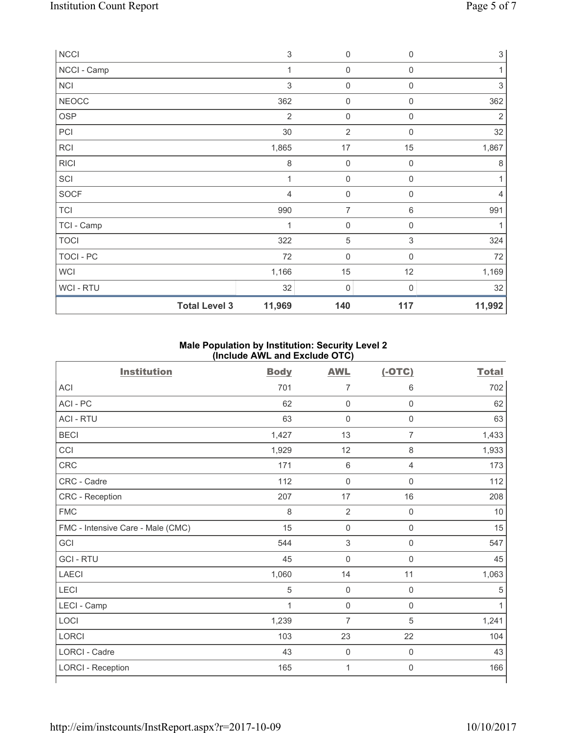| $\sf NCCI$           | $\,$ 3 $\,$    | $\mathbf 0$         | $\mathbf 0$      | $\sqrt{3}$                |
|----------------------|----------------|---------------------|------------------|---------------------------|
| NCCI - Camp          | 1              | 0                   | 0                | 1                         |
| NCI                  | $\mathfrak{Z}$ | $\mathsf{O}\xspace$ | $\mathbf 0$      | $\ensuremath{\mathsf{3}}$ |
| <b>NEOCC</b>         | 362            | 0                   | $\mathbf 0$      | 362                       |
| OSP                  | $\overline{2}$ | $\mathbf 0$         | $\mathbf 0$      | $\overline{2}$            |
| PCI                  | 30             | $\overline{2}$      | $\mathbf 0$      | 32                        |
| <b>RCI</b>           | 1,865          | $17$                | 15               | 1,867                     |
| <b>RICI</b>          | $\,8\,$        | $\mathbf 0$         | $\mathbf 0$      | $\,8\,$                   |
| SCI                  | $\mathbf 1$    | 0                   | $\mathbf 0$      | 1                         |
| SOCF                 | $\overline{4}$ | $\mathbf 0$         | $\mathbf 0$      | $\overline{4}$            |
| <b>TCI</b>           | 990            | $\overline{7}$      | 6                | 991                       |
| TCI - Camp           | 1              | $\boldsymbol{0}$    | $\boldsymbol{0}$ |                           |
| <b>TOCI</b>          | 322            | 5                   | 3                | 324                       |
| TOCI - PC            | 72             | $\mathbf 0$         | $\mathbf 0$      | 72                        |
| <b>WCI</b>           | 1,166          | 15                  | 12               | 1,169                     |
| WCI - RTU            | 32             | $\mathbf 0$         | $\mathbf 0$      | 32                        |
| <b>Total Level 3</b> | 11,969         | 140                 | 117              | 11,992                    |

# **Male Population by Institution: Security Level 2 (Include AWL and Exclude OTC)**

| <b>Institution</b>                | <b>Body</b>  | <b>AWL</b>                | $(-OTC)$            | <b>Total</b> |
|-----------------------------------|--------------|---------------------------|---------------------|--------------|
| <b>ACI</b>                        | 701          | $\overline{7}$            | 6                   | 702          |
| ACI-PC                            | 62           | $\mathsf{O}\xspace$       | $\mathsf{O}\xspace$ | 62           |
| <b>ACI - RTU</b>                  | 63           | $\mathbf 0$               | $\mathsf 0$         | 63           |
| <b>BECI</b>                       | 1,427        | 13                        | $\overline{7}$      | 1,433        |
| CCI                               | 1,929        | 12                        | 8                   | 1,933        |
| CRC                               | 171          | $\,6\,$                   | $\overline{4}$      | 173          |
| CRC - Cadre                       | 112          | $\mathbf 0$               | $\mathbf 0$         | 112          |
| CRC - Reception                   | 207          | 17                        | 16                  | 208          |
| <b>FMC</b>                        | 8            | $\overline{2}$            | $\mathbf 0$         | 10           |
| FMC - Intensive Care - Male (CMC) | 15           | $\mathsf{O}\xspace$       | $\mathbf 0$         | 15           |
| GCI                               | 544          | $\ensuremath{\mathsf{3}}$ | $\mathsf 0$         | 547          |
| <b>GCI-RTU</b>                    | 45           | $\mathbf 0$               | $\mathbf 0$         | 45           |
| <b>LAECI</b>                      | 1,060        | 14                        | 11                  | 1,063        |
| LECI                              | $\sqrt{5}$   | $\mathbf 0$               | $\mathbf 0$         | 5            |
| LECI - Camp                       | $\mathbf{1}$ | $\mathsf{O}\xspace$       | $\mathbf 0$         | 1            |
| LOCI                              | 1,239        | $\overline{7}$            | $\sqrt{5}$          | 1,241        |
| LORCI                             | 103          | 23                        | 22                  | 104          |
| LORCI - Cadre                     | 43           | $\mathsf{O}\xspace$       | $\mathbf 0$         | 43           |
| <b>LORCI - Reception</b>          | 165          | 1                         | $\mathbf 0$         | 166          |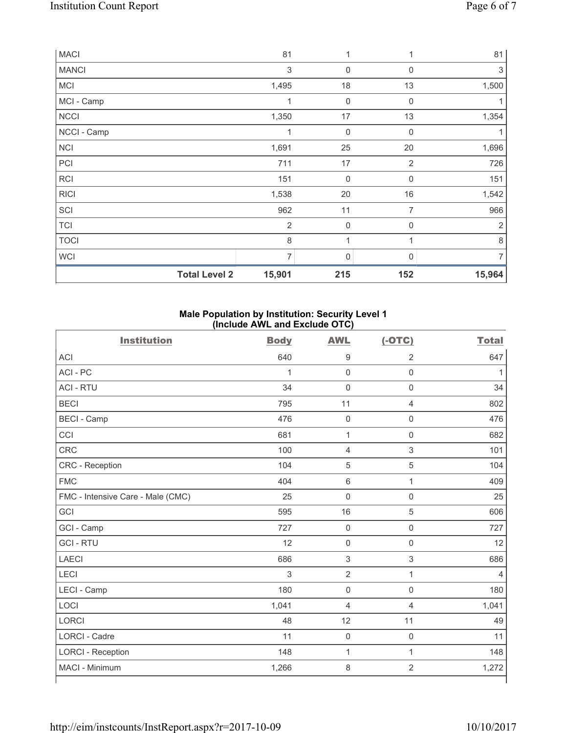| <b>MACI</b>  |                      | 81             | 1                   |                | 81             |
|--------------|----------------------|----------------|---------------------|----------------|----------------|
| <b>MANCI</b> |                      | 3              | $\mathbf 0$         | $\mathbf 0$    | 3              |
| <b>MCI</b>   |                      | 1,495          | 18                  | 13             | 1,500          |
| MCI - Camp   |                      | 1              | 0                   | $\mathbf 0$    |                |
| <b>NCCI</b>  |                      | 1,350          | 17                  | 13             | 1,354          |
| NCCI - Camp  |                      | 1              | $\mathbf 0$         | $\mathbf 0$    | 1              |
| <b>NCI</b>   |                      | 1,691          | 25                  | 20             | 1,696          |
| PCI          |                      | 711            | 17                  | $\overline{2}$ | 726            |
| <b>RCI</b>   |                      | 151            | $\mathsf{O}\xspace$ | $\mathbf 0$    | 151            |
| <b>RICI</b>  |                      | 1,538          | 20                  | 16             | 1,542          |
| SCI          |                      | 962            | 11                  | 7              | 966            |
| <b>TCI</b>   |                      | $\overline{2}$ | $\mathbf 0$         | $\mathbf 0$    | $\overline{2}$ |
| <b>TOCI</b>  |                      | 8              | 1                   |                | 8              |
| WCI          |                      | 7              | 0                   | $\Omega$       | 7              |
|              | <b>Total Level 2</b> | 15,901         | 215                 | 152            | 15,964         |

## **Male Population by Institution: Security Level 1 (Include AWL and Exclude OTC)**

| <b>Institution</b>                | <b>Body</b>  | <b>AWL</b>          | $(-OTC)$            | <b>Total</b> |
|-----------------------------------|--------------|---------------------|---------------------|--------------|
| <b>ACI</b>                        | 640          | 9                   | $\overline{2}$      | 647          |
| ACI - PC                          | 1            | $\mathbf 0$         | $\mathsf{O}\xspace$ | 1            |
| <b>ACI - RTU</b>                  | 34           | $\mathbf 0$         | $\mathbf 0$         | 34           |
| <b>BECI</b>                       | 795          | 11                  | $\overline{4}$      | 802          |
| <b>BECI - Camp</b>                | 476          | $\mathbf 0$         | $\mathsf 0$         | 476          |
| CCI                               | 681          | $\mathbf{1}$        | $\mathsf 0$         | 682          |
| CRC                               | 100          | 4                   | $\mathsf 3$         | 101          |
| CRC - Reception                   | 104          | 5                   | 5                   | 104          |
| <b>FMC</b>                        | 404          | 6                   | $\mathbf{1}$        | 409          |
| FMC - Intensive Care - Male (CMC) | 25           | $\mathbf 0$         | $\mathsf{O}\xspace$ | 25           |
| GCI                               | 595          | 16                  | 5                   | 606          |
| GCI - Camp                        | 727          | $\mathbf 0$         | $\mathsf{O}\xspace$ | 727          |
| <b>GCI-RTU</b>                    | 12           | 0                   | $\mathsf{O}\xspace$ | 12           |
| <b>LAECI</b>                      | 686          | 3                   | $\mathfrak{S}$      | 686          |
| LECI                              | $\mathbf{3}$ | $\overline{2}$      | $\mathbf{1}$        | 4            |
| LECI - Camp                       | 180          | $\mathbf 0$         | $\mathsf{O}\xspace$ | 180          |
| LOCI                              | 1,041        | $\overline{4}$      | 4                   | 1,041        |
| <b>LORCI</b>                      | 48           | 12                  | 11                  | 49           |
| <b>LORCI - Cadre</b>              | 11           | $\mathsf{O}\xspace$ | $\mathsf{O}\xspace$ | 11           |
| <b>LORCI - Reception</b>          | 148          | $\mathbf{1}$        | $\mathbf{1}$        | 148          |
| MACI - Minimum                    | 1,266        | 8                   | $\sqrt{2}$          | 1,272        |